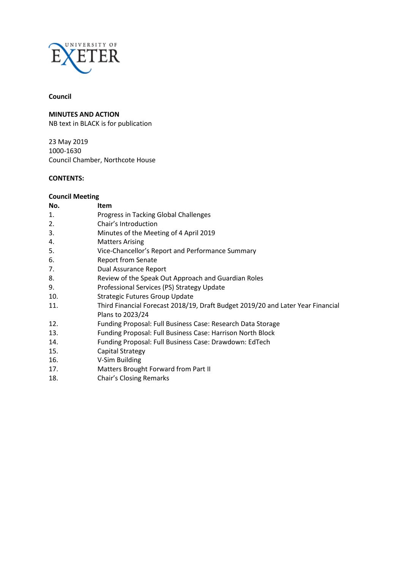

# **Council**

**MINUTES AND ACTION**

NB text in BLACK is for publication

23 May 2019 1000-1630 Council Chamber, Northcote House

## **CONTENTS:**

## **Council Meeting**

| No. | Item                                                                            |
|-----|---------------------------------------------------------------------------------|
| 1.  | Progress in Tacking Global Challenges                                           |
| 2.  | Chair's Introduction                                                            |
| 3.  | Minutes of the Meeting of 4 April 2019                                          |
| 4.  | <b>Matters Arising</b>                                                          |
| 5.  | Vice-Chancellor's Report and Performance Summary                                |
| 6.  | <b>Report from Senate</b>                                                       |
| 7.  | Dual Assurance Report                                                           |
| 8.  | Review of the Speak Out Approach and Guardian Roles                             |
| 9.  | Professional Services (PS) Strategy Update                                      |
| 10. | <b>Strategic Futures Group Update</b>                                           |
| 11. | Third Financial Forecast 2018/19, Draft Budget 2019/20 and Later Year Financial |
|     | Plans to 2023/24                                                                |
| 12. | Funding Proposal: Full Business Case: Research Data Storage                     |
| 13. | Funding Proposal: Full Business Case: Harrison North Block                      |
| 14. | Funding Proposal: Full Business Case: Drawdown: EdTech                          |
| 15. | Capital Strategy                                                                |
| 16. | V-Sim Building                                                                  |
| 17. | Matters Brought Forward from Part II                                            |
|     |                                                                                 |

18. Chair's Closing Remarks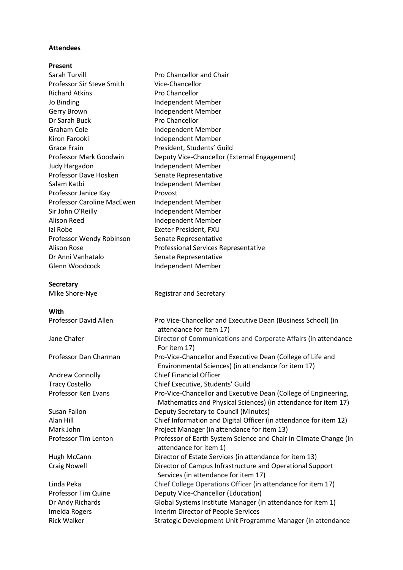#### **Attendees**

## **Present**

| Sarah Turvill                       | Pro Chancellor and Chair                                                                           |
|-------------------------------------|----------------------------------------------------------------------------------------------------|
| Professor Sir Steve Smith           | Vice-Chancellor                                                                                    |
| <b>Richard Atkins</b>               | Pro Chancellor                                                                                     |
| Jo Binding                          | Independent Member                                                                                 |
| Gerry Brown                         | Independent Member                                                                                 |
| Dr Sarah Buck                       | Pro Chancellor                                                                                     |
| Graham Cole                         | Independent Member                                                                                 |
| Kiron Farooki                       | Independent Member                                                                                 |
| <b>Grace Frain</b>                  | President, Students' Guild                                                                         |
| Professor Mark Goodwin              | Deputy Vice-Chancellor (External Engagement)                                                       |
| Judy Hargadon                       | Independent Member                                                                                 |
| Professor Dave Hosken               | Senate Representative                                                                              |
| Salam Katbi                         | Independent Member                                                                                 |
| Professor Janice Kay                | Provost                                                                                            |
| Professor Caroline MacEwen          | Independent Member                                                                                 |
| Sir John O'Reilly                   | Independent Member                                                                                 |
| <b>Alison Reed</b>                  | Independent Member                                                                                 |
| Izi Robe                            | Exeter President, FXU                                                                              |
| Professor Wendy Robinson            | Senate Representative                                                                              |
| <b>Alison Rose</b>                  | Professional Services Representative                                                               |
| Dr Anni Vanhatalo                   | Senate Representative                                                                              |
| Glenn Woodcock                      | Independent Member                                                                                 |
|                                     |                                                                                                    |
| <b>Secretary</b>                    |                                                                                                    |
| Mike Shore-Nye                      | <b>Registrar and Secretary</b>                                                                     |
| With                                |                                                                                                    |
| Professor David Allen               | Pro Vice-Chancellor and Executive Dean (Business School) (in                                       |
|                                     | attendance for item 17)                                                                            |
| Jane Chafer                         | Director of Communications and Corporate Affairs (in attendance                                    |
|                                     | For item 17)                                                                                       |
| Professor Dan Charman               | Pro-Vice-Chancellor and Executive Dean (College of Life and                                        |
|                                     | Environmental Sciences) (in attendance for item 17)                                                |
| Andrew Connolly                     | <b>Chief Financial Officer</b>                                                                     |
| <b>Tracy Costello</b>               | Chief Executive, Students' Guild                                                                   |
| Professor Ken Evans                 | Pro-Vice-Chancellor and Executive Dean (College of Engineering,                                    |
|                                     | Mathematics and Physical Sciences) (in attendance for item 17)                                     |
| Susan Fallon                        | Deputy Secretary to Council (Minutes)                                                              |
| Alan Hill                           | Chief Information and Digital Officer (in attendance for item 12)                                  |
| Mark John                           |                                                                                                    |
| Professor Tim Lenton                |                                                                                                    |
|                                     | Project Manager (in attendance for item 13)                                                        |
|                                     | Professor of Earth System Science and Chair in Climate Change (in<br>attendance for item 1)        |
| Hugh McCann                         | Director of Estate Services (in attendance for item 13)                                            |
| <b>Craig Nowell</b>                 | Director of Campus Infrastructure and Operational Support                                          |
|                                     | Services (in attendance for item 17)                                                               |
| Linda Peka                          | Chief College Operations Officer (in attendance for item 17)                                       |
| Professor Tim Quine                 | Deputy Vice-Chancellor (Education)                                                                 |
| Dr Andy Richards                    | Global Systems Institute Manager (in attendance for item 1)                                        |
| Imelda Rogers<br><b>Rick Walker</b> | Interim Director of People Services<br>Strategic Development Unit Programme Manager (in attendance |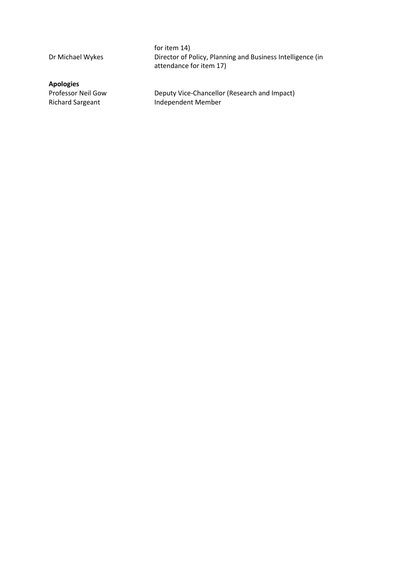**Apologies**

for item 14) Dr Michael Wykes Director of Policy, Planning and Business Intelligence (in attendance for item 17)

Professor Neil Gow Deputy Vice-Chancellor (Research and Impact)<br>Richard Sargeant 1ndependent Member Independent Member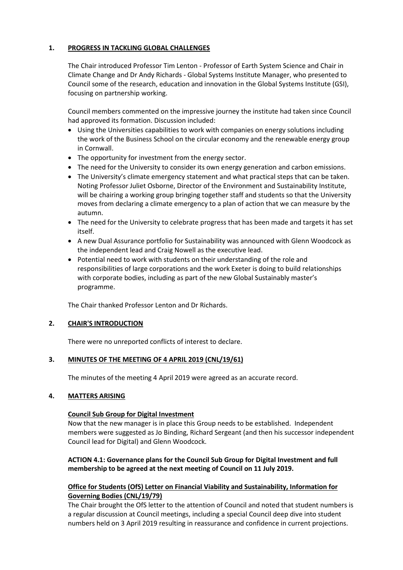## **1. PROGRESS IN TACKLING GLOBAL CHALLENGES**

The Chair introduced Professor Tim Lenton - Professor of Earth System Science and Chair in Climate Change and Dr Andy Richards - Global Systems Institute Manager, who presented to Council some of the research, education and innovation in the Global Systems Institute (GSI), focusing on partnership working.

Council members commented on the impressive journey the institute had taken since Council had approved its formation. Discussion included:

- Using the Universities capabilities to work with companies on energy solutions including the work of the Business School on the circular economy and the renewable energy group in Cornwall.
- The opportunity for investment from the energy sector.
- The need for the University to consider its own energy generation and carbon emissions.
- The University's climate emergency statement and what practical steps that can be taken. Noting Professor Juliet Osborne, Director of the Environment and Sustainability Institute, will be chairing a working group bringing together staff and students so that the University moves from declaring a climate emergency to a plan of action that we can measure by the autumn.
- The need for the University to celebrate progress that has been made and targets it has set itself.
- A new Dual Assurance portfolio for Sustainability was announced with Glenn Woodcock as the independent lead and Craig Nowell as the executive lead.
- Potential need to work with students on their understanding of the role and responsibilities of large corporations and the work Exeter is doing to build relationships with corporate bodies, including as part of the new Global Sustainably master's programme.

The Chair thanked Professor Lenton and Dr Richards.

#### **2. CHAIR'S INTRODUCTION**

There were no unreported conflicts of interest to declare.

#### **3. MINUTES OF THE MEETING OF 4 APRIL 2019 (CNL/19/61)**

The minutes of the meeting 4 April 2019 were agreed as an accurate record.

## **4. MATTERS ARISING**

#### **Council Sub Group for Digital Investment**

Now that the new manager is in place this Group needs to be established. Independent members were suggested as Jo Binding, Richard Sergeant (and then his successor independent Council lead for Digital) and Glenn Woodcock.

## **ACTION 4.1: Governance plans for the Council Sub Group for Digital Investment and full membership to be agreed at the next meeting of Council on 11 July 2019.**

## **Office for Students (OfS) Letter on Financial Viability and Sustainability, Information for Governing Bodies (CNL/19/79)**

The Chair brought the OfS letter to the attention of Council and noted that student numbers is a regular discussion at Council meetings, including a special Council deep dive into student numbers held on 3 April 2019 resulting in reassurance and confidence in current projections.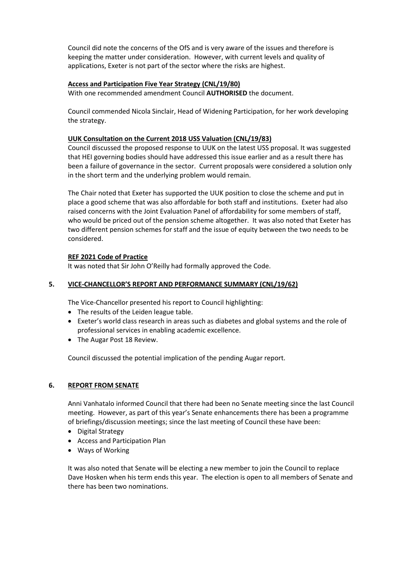Council did note the concerns of the OfS and is very aware of the issues and therefore is keeping the matter under consideration. However, with current levels and quality of applications, Exeter is not part of the sector where the risks are highest.

## **Access and Participation Five Year Strategy (CNL/19/80)**

With one recommended amendment Council **AUTHORISED** the document.

Council commended Nicola Sinclair, Head of Widening Participation, for her work developing the strategy.

#### **UUK Consultation on the Current 2018 USS Valuation (CNL/19/83)**

Council discussed the proposed response to UUK on the latest USS proposal. It was suggested that HEI governing bodies should have addressed this issue earlier and as a result there has been a failure of governance in the sector. Current proposals were considered a solution only in the short term and the underlying problem would remain.

The Chair noted that Exeter has supported the UUK position to close the scheme and put in place a good scheme that was also affordable for both staff and institutions. Exeter had also raised concerns with the Joint Evaluation Panel of affordability for some members of staff, who would be priced out of the pension scheme altogether. It was also noted that Exeter has two different pension schemes for staff and the issue of equity between the two needs to be considered.

## **REF 2021 Code of Practice**

It was noted that Sir John O'Reilly had formally approved the Code.

## **5. VICE-CHANCELLOR'S REPORT AND PERFORMANCE SUMMARY (CNL/19/62)**

The Vice-Chancellor presented his report to Council highlighting:

- The results of the Leiden league table.
- Exeter's world class research in areas such as diabetes and global systems and the role of professional services in enabling academic excellence.
- The Augar Post 18 Review.

Council discussed the potential implication of the pending Augar report.

## **6. REPORT FROM SENATE**

Anni Vanhatalo informed Council that there had been no Senate meeting since the last Council meeting. However, as part of this year's Senate enhancements there has been a programme of briefings/discussion meetings; since the last meeting of Council these have been:

- Digital Strategy
- Access and Participation Plan
- Ways of Working

It was also noted that Senate will be electing a new member to join the Council to replace Dave Hosken when his term ends this year. The election is open to all members of Senate and there has been two nominations.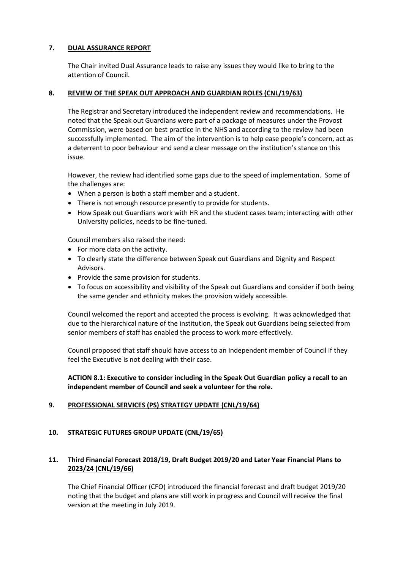## **7. DUAL ASSURANCE REPORT**

The Chair invited Dual Assurance leads to raise any issues they would like to bring to the attention of Council.

#### **8. REVIEW OF THE SPEAK OUT APPROACH AND GUARDIAN ROLES (CNL/19/63)**

The Registrar and Secretary introduced the independent review and recommendations. He noted that the Speak out Guardians were part of a package of measures under the Provost Commission, were based on best practice in the NHS and according to the review had been successfully implemented. The aim of the intervention is to help ease people's concern, act as a deterrent to poor behaviour and send a clear message on the institution's stance on this issue.

However, the review had identified some gaps due to the speed of implementation. Some of the challenges are:

- When a person is both a staff member and a student.
- There is not enough resource presently to provide for students.
- How Speak out Guardians work with HR and the student cases team; interacting with other University policies, needs to be fine-tuned.

Council members also raised the need:

- For more data on the activity.
- To clearly state the difference between Speak out Guardians and Dignity and Respect Advisors.
- Provide the same provision for students.
- To focus on accessibility and visibility of the Speak out Guardians and consider if both being the same gender and ethnicity makes the provision widely accessible.

Council welcomed the report and accepted the process is evolving. It was acknowledged that due to the hierarchical nature of the institution, the Speak out Guardians being selected from senior members of staff has enabled the process to work more effectively.

Council proposed that staff should have access to an Independent member of Council if they feel the Executive is not dealing with their case.

**ACTION 8.1: Executive to consider including in the Speak Out Guardian policy a recall to an independent member of Council and seek a volunteer for the role.**

#### **9. PROFESSIONAL SERVICES (PS) STRATEGY UPDATE (CNL/19/64)**

## **10. STRATEGIC FUTURES GROUP UPDATE (CNL/19/65)**

## **11. Third Financial Forecast 2018/19, Draft Budget 2019/20 and Later Year Financial Plans to 2023/24 (CNL/19/66)**

The Chief Financial Officer (CFO) introduced the financial forecast and draft budget 2019/20 noting that the budget and plans are still work in progress and Council will receive the final version at the meeting in July 2019.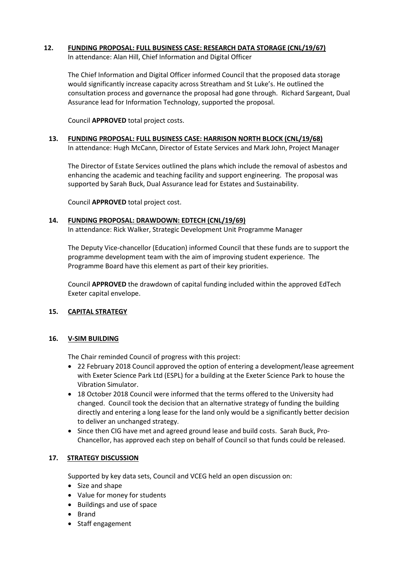## **12. FUNDING PROPOSAL: FULL BUSINESS CASE: RESEARCH DATA STORAGE (CNL/19/67)**

In attendance: Alan Hill, Chief Information and Digital Officer

The Chief Information and Digital Officer informed Council that the proposed data storage would significantly increase capacity across Streatham and St Luke's. He outlined the consultation process and governance the proposal had gone through. Richard Sargeant, Dual Assurance lead for Information Technology, supported the proposal.

Council **APPROVED** total project costs.

# **13. FUNDING PROPOSAL: FULL BUSINESS CASE: HARRISON NORTH BLOCK (CNL/19/68)**

In attendance: Hugh McCann, Director of Estate Services and Mark John, Project Manager

The Director of Estate Services outlined the plans which include the removal of asbestos and enhancing the academic and teaching facility and support engineering. The proposal was supported by Sarah Buck, Dual Assurance lead for Estates and Sustainability.

Council **APPROVED** total project cost.

## **14. FUNDING PROPOSAL: DRAWDOWN: EDTECH (CNL/19/69)**

In attendance: Rick Walker, Strategic Development Unit Programme Manager

The Deputy Vice-chancellor (Education) informed Council that these funds are to support the programme development team with the aim of improving student experience. The Programme Board have this element as part of their key priorities.

Council **APPROVED** the drawdown of capital funding included within the approved EdTech Exeter capital envelope.

## **15. CAPITAL STRATEGY**

#### **16. V-SIM BUILDING**

The Chair reminded Council of progress with this project:

- 22 February 2018 Council approved the option of entering a development/lease agreement with Exeter Science Park Ltd (ESPL) for a building at the Exeter Science Park to house the Vibration Simulator.
- 18 October 2018 Council were informed that the terms offered to the University had changed. Council took the decision that an alternative strategy of funding the building directly and entering a long lease for the land only would be a significantly better decision to deliver an unchanged strategy.
- Since then CIG have met and agreed ground lease and build costs. Sarah Buck, Pro-Chancellor, has approved each step on behalf of Council so that funds could be released.

## **17. STRATEGY DISCUSSION**

Supported by key data sets, Council and VCEG held an open discussion on:

- Size and shape
- Value for money for students
- Buildings and use of space
- Brand
- Staff engagement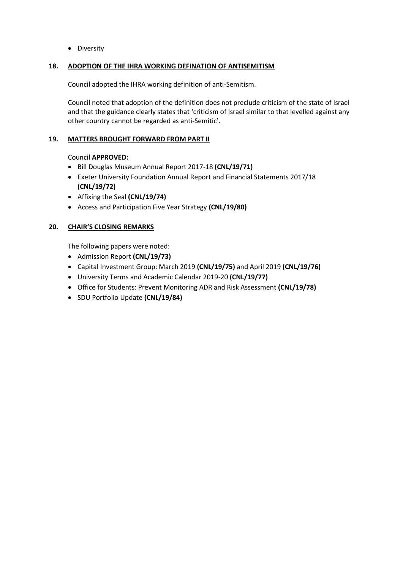• Diversity

#### **18. ADOPTION OF THE IHRA WORKING DEFINATION OF ANTISEMITISM**

Council adopted the IHRA working definition of anti-Semitism.

Council noted that adoption of the definition does not preclude criticism of the state of Israel and that the guidance clearly states that 'criticism of Israel similar to that levelled against any other country cannot be regarded as anti-Semitic'.

## **19. MATTERS BROUGHT FORWARD FROM PART II**

## Council **APPROVED:**

- Bill Douglas Museum Annual Report 2017-18 **(CNL/19/71)**
- Exeter University Foundation Annual Report and Financial Statements 2017/18 **(CNL/19/72)**
- Affixing the Seal **(CNL/19/74)**
- Access and Participation Five Year Strategy **(CNL/19/80)**

#### **20. CHAIR'S CLOSING REMARKS**

The following papers were noted:

- Admission Report **(CNL/19/73)**
- Capital Investment Group: March 2019 **(CNL/19/75)** and April 2019 **(CNL/19/76)**
- University Terms and Academic Calendar 2019-20 **(CNL/19/77)**
- Office for Students: Prevent Monitoring ADR and Risk Assessment **(CNL/19/78)**
- SDU Portfolio Update **(CNL/19/84)**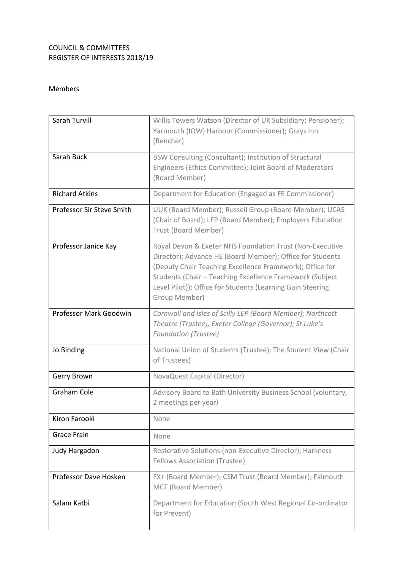# COUNCIL & COMMITTEES REGISTER OF INTERESTS 2018/19

# Members

| Sarah Turvill             | Willis Towers Watson (Director of UK Subsidiary; Pensioner);<br>Yarmouth (IOW) Harbour (Commissioner); Grays Inn<br>(Bencher)                                                                                                                                                                                                |
|---------------------------|------------------------------------------------------------------------------------------------------------------------------------------------------------------------------------------------------------------------------------------------------------------------------------------------------------------------------|
| Sarah Buck                | BSW Consulting (Consultant); Institution of Structural<br>Engineers (Ethics Committee); Joint Board of Moderators<br>(Board Member)                                                                                                                                                                                          |
| <b>Richard Atkins</b>     | Department for Education (Engaged as FE Commissioner)                                                                                                                                                                                                                                                                        |
| Professor Sir Steve Smith | UUK (Board Member); Russell Group (Board Member); UCAS<br>(Chair of Board); LEP (Board Member); Employers Education<br>Trust (Board Member)                                                                                                                                                                                  |
| Professor Janice Kay      | Royal Devon & Exeter NHS Foundation Trust (Non-Executive<br>Director); Advance HE (Board Member); Office for Students<br>(Deputy Chair Teaching Excellence Framework); Office for<br>Students (Chair - Teaching Excellence Framework (Subject<br>Level Pilot)); Office for Students (Learning Gain Steering<br>Group Member) |
| Professor Mark Goodwin    | Cornwall and Isles of Scilly LEP (Board Member); Northcott<br>Theatre (Trustee); Exeter College (Governor); St Luke's<br><b>Foundation (Trustee)</b>                                                                                                                                                                         |
| Jo Binding                | National Union of Students (Trustee); The Student View (Chair<br>of Trustees)                                                                                                                                                                                                                                                |
| Gerry Brown               | NovaQuest Capital (Director)                                                                                                                                                                                                                                                                                                 |
| Graham Cole               | Advisory Board to Bath University Business School (voluntary,<br>2 meetings per year)                                                                                                                                                                                                                                        |
| Kiron Farooki             | None                                                                                                                                                                                                                                                                                                                         |
| <b>Grace Frain</b>        | None                                                                                                                                                                                                                                                                                                                         |
| Judy Hargadon             | Restorative Solutions (non-Executive Director); Harkness<br>Fellows Association (Trustee)                                                                                                                                                                                                                                    |
| Professor Dave Hosken     | FX+ (Board Member); CSM Trust (Board Member); Falmouth<br>MCT (Board Member)                                                                                                                                                                                                                                                 |
| Salam Katbi               | Department for Education (South West Regional Co-ordinator<br>for Prevent)                                                                                                                                                                                                                                                   |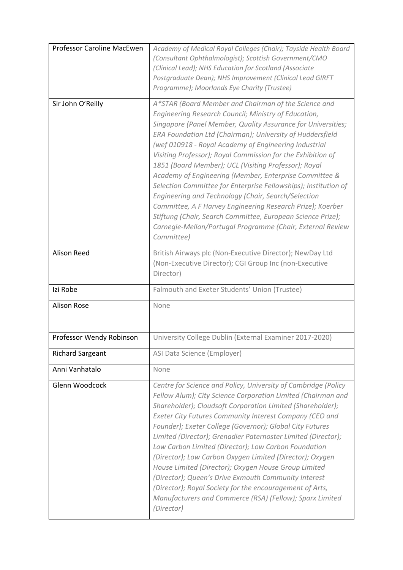| Professor Caroline MacEwen | Academy of Medical Royal Colleges (Chair); Tayside Health Board<br>(Consultant Ophthalmologist); Scottish Government/CMO<br>(Clinical Lead); NHS Education for Scotland (Associate<br>Postgraduate Dean); NHS Improvement (Clinical Lead GIRFT<br>Programme); Moorlands Eye Charity (Trustee)                                                                                                                                                                                                                                                                                                                                                                                                                                                                                                                          |
|----------------------------|------------------------------------------------------------------------------------------------------------------------------------------------------------------------------------------------------------------------------------------------------------------------------------------------------------------------------------------------------------------------------------------------------------------------------------------------------------------------------------------------------------------------------------------------------------------------------------------------------------------------------------------------------------------------------------------------------------------------------------------------------------------------------------------------------------------------|
| Sir John O'Reilly          | A*STAR (Board Member and Chairman of the Science and<br>Engineering Research Council; Ministry of Education,<br>Singapore (Panel Member, Quality Assurance for Universities;<br>ERA Foundation Ltd (Chairman); University of Huddersfield<br>(wef 010918 - Royal Academy of Engineering Industrial<br>Visiting Professor); Royal Commission for the Exhibition of<br>1851 (Board Member); UCL (Visiting Professor); Royal<br>Academy of Engineering (Member, Enterprise Committee &<br>Selection Committee for Enterprise Fellowships); Institution of<br>Engineering and Technology (Chair, Search/Selection<br>Committee, A F Harvey Engineering Research Prize); Koerber<br>Stiftung (Chair, Search Committee, European Science Prize);<br>Carnegie-Mellon/Portugal Programme (Chair, External Review<br>Committee) |
| <b>Alison Reed</b>         | British Airways plc (Non-Executive Director); NewDay Ltd<br>(Non-Executive Director); CGI Group Inc (non-Executive<br>Director)                                                                                                                                                                                                                                                                                                                                                                                                                                                                                                                                                                                                                                                                                        |
| Izi Robe                   | Falmouth and Exeter Students' Union (Trustee)                                                                                                                                                                                                                                                                                                                                                                                                                                                                                                                                                                                                                                                                                                                                                                          |
| <b>Alison Rose</b>         | None                                                                                                                                                                                                                                                                                                                                                                                                                                                                                                                                                                                                                                                                                                                                                                                                                   |
| Professor Wendy Robinson   | University College Dublin (External Examiner 2017-2020)                                                                                                                                                                                                                                                                                                                                                                                                                                                                                                                                                                                                                                                                                                                                                                |
| <b>Richard Sargeant</b>    | ASI Data Science (Employer)                                                                                                                                                                                                                                                                                                                                                                                                                                                                                                                                                                                                                                                                                                                                                                                            |
| Anni Vanhatalo             | None                                                                                                                                                                                                                                                                                                                                                                                                                                                                                                                                                                                                                                                                                                                                                                                                                   |
| Glenn Woodcock             | Centre for Science and Policy, University of Cambridge (Policy<br>Fellow Alum); City Science Corporation Limited (Chairman and<br>Shareholder); Cloudsoft Corporation Limited (Shareholder);<br>Exeter City Futures Community Interest Company (CEO and<br>Founder); Exeter College (Governor); Global City Futures<br>Limited (Director); Grenadier Paternoster Limited (Director);<br>Low Carbon Limited (Director); Low Carbon Foundation<br>(Director); Low Carbon Oxygen Limited (Director); Oxygen<br>House Limited (Director); Oxygen House Group Limited<br>(Director); Queen's Drive Exmouth Community Interest<br>(Director); Royal Society for the encouragement of Arts,<br>Manufacturers and Commerce (RSA) (Fellow); Sparx Limited<br>(Director)                                                         |